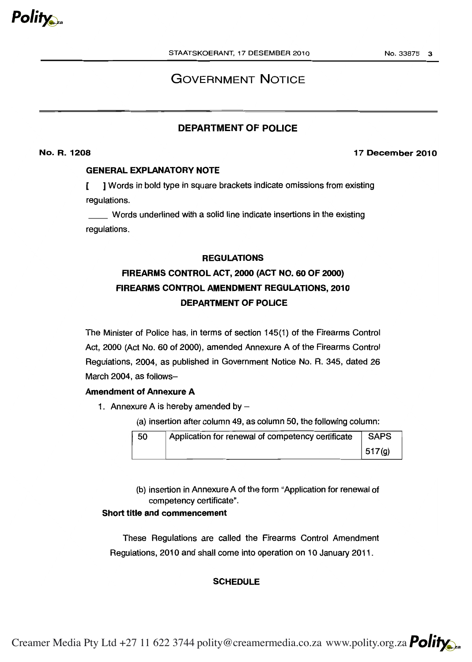

# GOVERNMENT NOTICE

## DEPARTMENT OF POLICE

### No. R. 1208

### 17 December 2010

### GENERAL EXPLANATORY NOTE

f. [ ] Words in bold type in square brackets indicate omissions from existing regulations.

Words underlined with a solid line indicate insertions in the existing regulations.

### REGULATIONS

# FIREARMS CONTROL ACT, 2000 (ACT NO. 60 OF 2000) DEPARTMENT OF POLICE FIREARMS CONTROL AMENDMENT REGULATIONS, 2010

The Minister of Police has, in terms of section 145(1) of the Firearms Control Act, 2000 (Act No. 60 of 2000), amended Annexure A of the Firearms Control Regulations, 2004, as published in Government Notice No. R. 345, dated 26 March 2004, as follows-

### Amendment of Annexure A

- 1. Annexure A is hereby amended by  $-$ 
	- (a) insertion after column 49, as column 50, the following column:

| 50 | Application for renewal of competency certificate | <b>SAPS</b>        |
|----|---------------------------------------------------|--------------------|
|    |                                                   | 517 <sub>(g)</sub> |

 competency certificate". (b) insertion in Annexure A of the form "Application for renewal of

### Short title and commencement

These Regulations are called the Firearms Control Amendment Regulations, 2010 and shall come into operation on 10 January 2011 .

### **SCHEDULE**

Creamer Media Pty Ltd +27 11 622 3744 polity@creamermedia.co.za www.polity.org.za **Polity**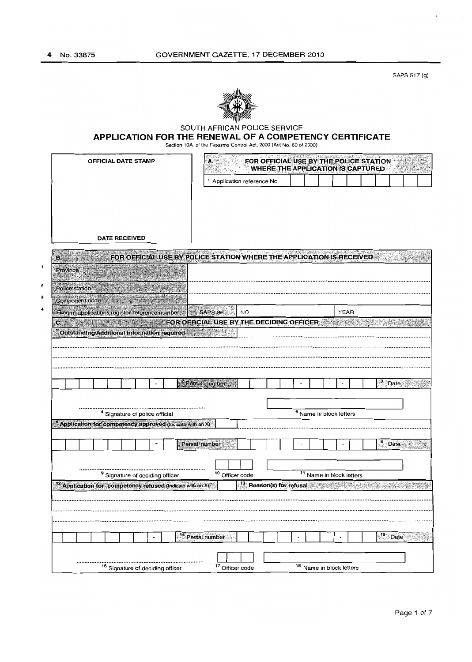SAPS 517 (g)



#### SOUTH AFRICAN POLICE SERVICE

 **APPLICATION FOR THE RENEWAL OF A COMPETENCY CERTIFICATE**

Section 10A of the Firearms Control Act, 2000 (Act No. 60 of 2000)

|                                                                        | A                                                                    | <b>WHERE THE APPLICATION IS CAPTURED.</b> |      | FOR OFFICIAL USE BY THE POLICE STATION |
|------------------------------------------------------------------------|----------------------------------------------------------------------|-------------------------------------------|------|----------------------------------------|
|                                                                        | <sup>1</sup> Application reference No                                |                                           |      |                                        |
|                                                                        |                                                                      |                                           |      |                                        |
|                                                                        |                                                                      |                                           |      |                                        |
|                                                                        |                                                                      |                                           |      |                                        |
|                                                                        |                                                                      |                                           |      |                                        |
| <b>DATE RECEIVED</b>                                                   |                                                                      |                                           |      |                                        |
| ΕŘ                                                                     | FOR OFFICIAL USE BY POLICE STATION WHERE THE APPLICATION IS RECEIVED |                                           |      |                                        |
| <b>Province</b>                                                        |                                                                      |                                           |      |                                        |
| Police station                                                         |                                                                      |                                           |      |                                        |
| Component code                                                         |                                                                      |                                           |      |                                        |
| Firearm applications register reference number                         | SAPS 86<br><b>NO</b>                                                 |                                           | YEAR |                                        |
| $\mathbf{C}$ , $\mathbf{C}$                                            | FOR OFFICIAL USE BY THE DECIDING OFFICER                             |                                           |      |                                        |
| Outstanding/Additional Information required                            |                                                                      |                                           |      |                                        |
|                                                                        |                                                                      |                                           |      |                                        |
|                                                                        |                                                                      |                                           |      |                                        |
|                                                                        |                                                                      |                                           |      |                                        |
|                                                                        |                                                                      |                                           |      |                                        |
|                                                                        | <sup>2</sup> Persal number                                           |                                           |      | 3 Date                                 |
|                                                                        |                                                                      |                                           |      |                                        |
| <sup>4</sup> Signature of police official                              |                                                                      | 5 Name in block letters                   |      |                                        |
|                                                                        |                                                                      |                                           |      |                                        |
|                                                                        |                                                                      |                                           |      |                                        |
| $\frac{6}{3}$ Application for competency approved (indicate with an X) |                                                                      |                                           |      |                                        |
|                                                                        | Persal number                                                        |                                           |      | <b>Date</b>                            |
|                                                                        |                                                                      |                                           |      |                                        |
|                                                                        |                                                                      |                                           |      |                                        |
| <sup>9</sup> Signature of deciding officer                             | <sup>10</sup> Officer code                                           | <sup>11</sup> Name in block letters       |      |                                        |
| <sup>12</sup> Application for competency refused (indicate with an X)  | $\frac{13}{13}$ Reason(s) for refusal                                |                                           |      |                                        |
|                                                                        |                                                                      |                                           |      |                                        |
|                                                                        |                                                                      |                                           |      |                                        |
|                                                                        |                                                                      |                                           |      |                                        |
|                                                                        | <sup>14</sup> Persal number                                          |                                           |      | $15$ Date                              |
|                                                                        |                                                                      |                                           |      |                                        |

L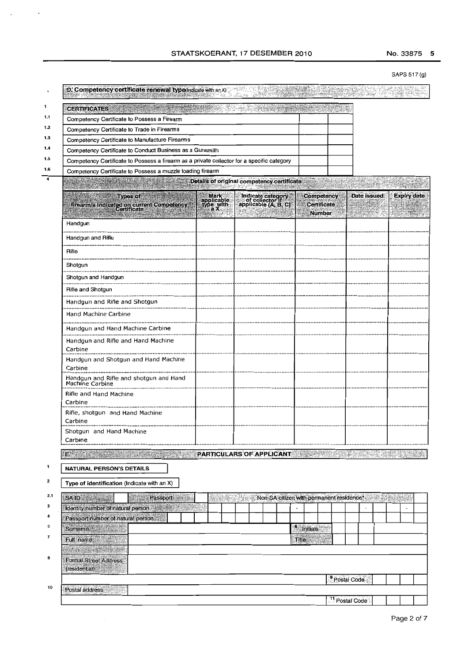$-9145$ 

### SAPS 517 (g)

|     | D. Competency certificate renewal type(Indicate with an X)                                 |                                 |  |                                                              |                          |                                     |                                     |                           |             |  |                    |  |
|-----|--------------------------------------------------------------------------------------------|---------------------------------|--|--------------------------------------------------------------|--------------------------|-------------------------------------|-------------------------------------|---------------------------|-------------|--|--------------------|--|
| 1   | <b>CERTIFICATES</b>                                                                        |                                 |  |                                                              |                          |                                     |                                     |                           |             |  |                    |  |
| 1.1 | Competency Certificate to Possess a Firearm                                                |                                 |  |                                                              |                          |                                     |                                     |                           |             |  |                    |  |
| 1.2 | Competency Certificate to Trade in Firearms                                                |                                 |  |                                                              |                          |                                     |                                     |                           |             |  |                    |  |
| 1.3 | Competency Certificate to Manufacture Firearms                                             |                                 |  |                                                              |                          |                                     |                                     |                           |             |  |                    |  |
| 1.4 | Competency Certificate to Conduct Business as a Gunsmith                                   |                                 |  |                                                              |                          |                                     |                                     |                           |             |  |                    |  |
| 1.5 | Competency Certificate to Possess a firearm as a private collector for a specific category |                                 |  |                                                              |                          |                                     |                                     |                           |             |  |                    |  |
| 1.6 | Competency Certificate to Possess a muzzle loading firearm                                 |                                 |  |                                                              |                          |                                     |                                     |                           |             |  |                    |  |
| 4   | Details of original competency certificate                                                 |                                 |  |                                                              |                          |                                     |                                     |                           | en Andre    |  |                    |  |
|     | <b>Types of</b>                                                                            |                                 |  | Indicate category<br>of collector if<br>applicable (A, B, C) |                          | Competency                          |                                     |                           | Date issued |  | <b>Expiry date</b> |  |
|     | firearm/s indicated on current Competency<br>Certificate                                   | Mark<br>applicable<br>type with |  |                                                              |                          |                                     | <b>Certificate</b><br><b>Number</b> |                           |             |  |                    |  |
|     | Handgun                                                                                    |                                 |  |                                                              |                          |                                     |                                     |                           |             |  |                    |  |
|     | Handgun and Rifle                                                                          |                                 |  |                                                              |                          |                                     |                                     |                           |             |  |                    |  |
|     | <b>Rifle</b>                                                                               |                                 |  |                                                              |                          |                                     |                                     |                           |             |  |                    |  |
|     | Shotgun<br>                                                                                |                                 |  |                                                              |                          |                                     |                                     |                           |             |  |                    |  |
|     | Shotgun and Handgun                                                                        |                                 |  |                                                              |                          |                                     |                                     |                           |             |  |                    |  |
|     | Rifle and Shotgun<br>                                                                      |                                 |  |                                                              |                          |                                     |                                     |                           |             |  |                    |  |
|     | Handgun and Rifle and Shotgun                                                              |                                 |  |                                                              |                          |                                     |                                     |                           |             |  |                    |  |
|     | Hand Machine Carbine                                                                       |                                 |  |                                                              |                          |                                     |                                     |                           |             |  |                    |  |
|     | Handgun and Hand Machine Carbine                                                           |                                 |  |                                                              |                          |                                     |                                     |                           |             |  |                    |  |
|     | Handgun and Rifle and Hand Machine<br>Carbine                                              |                                 |  |                                                              |                          |                                     |                                     |                           |             |  |                    |  |
|     | Handgun and Shotgun and Hand Machine<br>Carbine                                            |                                 |  |                                                              |                          |                                     |                                     |                           |             |  |                    |  |
|     | Handgun and Rifle and shotgun and Hand<br>Machine Carbine                                  |                                 |  |                                                              |                          |                                     |                                     |                           |             |  |                    |  |
|     | Rifle and Hand Machine<br>Carbine                                                          |                                 |  |                                                              |                          |                                     |                                     |                           |             |  |                    |  |
|     | Rifle, shotgun and Hand Machine<br>Carbine                                                 |                                 |  |                                                              |                          |                                     |                                     |                           |             |  |                    |  |
|     | Shotgun and Hand Machine<br>Carbine                                                        |                                 |  |                                                              |                          |                                     |                                     |                           |             |  |                    |  |
|     | $E$ , $\frac{1}{2}$                                                                        | PARTICULARS OF APPLICANT        |  |                                                              |                          |                                     |                                     |                           |             |  |                    |  |
| 1   | <b>NATURAL PERSON'S DETAILS</b>                                                            |                                 |  |                                                              |                          |                                     |                                     |                           |             |  |                    |  |
|     |                                                                                            |                                 |  |                                                              |                          |                                     |                                     |                           |             |  |                    |  |
| 2   | Type of identification (Indicate with an X)                                                |                                 |  |                                                              |                          |                                     |                                     |                           |             |  |                    |  |
| 2.1 | SAID <b>SAID</b><br>Passport                                                               |                                 |  | Non-SA citizen with permanent residence*                     |                          |                                     |                                     |                           |             |  |                    |  |
| з   | Identity number of natural person                                                          |                                 |  |                                                              | $\overline{\phantom{a}}$ |                                     |                                     |                           |             |  |                    |  |
| 4   | Passport number of natural person                                                          |                                 |  |                                                              |                          |                                     |                                     |                           |             |  |                    |  |
| 5   | Surname                                                                                    |                                 |  |                                                              |                          | $\overline{\phantom{a}^6}$ initials |                                     |                           |             |  |                    |  |
| 7   | Full name                                                                                  |                                 |  |                                                              | <b>Title:</b>            |                                     |                                     |                           |             |  |                    |  |
| 8   | The Second P<br><b>Formal Street Address</b>                                               |                                 |  |                                                              |                          |                                     |                                     |                           |             |  |                    |  |
|     | (residential)                                                                              |                                 |  |                                                              |                          |                                     |                                     |                           |             |  |                    |  |
|     |                                                                                            |                                 |  |                                                              |                          |                                     |                                     | Postal Code               |             |  |                    |  |
| 10  | Postal address                                                                             |                                 |  |                                                              |                          |                                     |                                     |                           |             |  |                    |  |
|     |                                                                                            |                                 |  |                                                              |                          |                                     |                                     | <sup>11</sup> Postal Code |             |  |                    |  |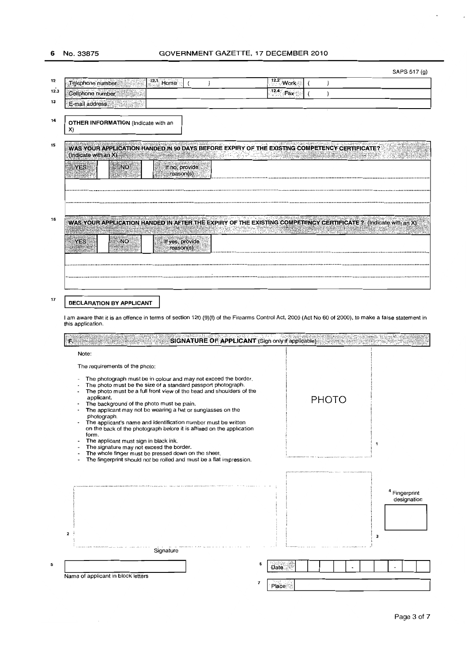6 No. 33875

## 6 No.33875 **GOVERNMENT** GAZETTE, 17 **DECEMBER** 2010

| SAPS 517 (g) |  |
|--------------|--|

| WAS YOUR APPLICATION HANDED IN AFTER THE EXPIRY OF THE EXISTING COMPETENCY CERTIFICATE ? (Indicate with an X)                                       |
|-----------------------------------------------------------------------------------------------------------------------------------------------------|
|                                                                                                                                                     |
|                                                                                                                                                     |
|                                                                                                                                                     |
|                                                                                                                                                     |
|                                                                                                                                                     |
|                                                                                                                                                     |
|                                                                                                                                                     |
|                                                                                                                                                     |
|                                                                                                                                                     |
|                                                                                                                                                     |
|                                                                                                                                                     |
|                                                                                                                                                     |
|                                                                                                                                                     |
|                                                                                                                                                     |
|                                                                                                                                                     |
|                                                                                                                                                     |
|                                                                                                                                                     |
|                                                                                                                                                     |
|                                                                                                                                                     |
|                                                                                                                                                     |
|                                                                                                                                                     |
|                                                                                                                                                     |
|                                                                                                                                                     |
|                                                                                                                                                     |
|                                                                                                                                                     |
|                                                                                                                                                     |
|                                                                                                                                                     |
|                                                                                                                                                     |
|                                                                                                                                                     |
|                                                                                                                                                     |
|                                                                                                                                                     |
|                                                                                                                                                     |
|                                                                                                                                                     |
| <sup>4</sup> Fingerprint                                                                                                                            |
| designation                                                                                                                                         |
|                                                                                                                                                     |
|                                                                                                                                                     |
|                                                                                                                                                     |
|                                                                                                                                                     |
|                                                                                                                                                     |
|                                                                                                                                                     |
|                                                                                                                                                     |
| I am aware that it is an offence in terms of section 120 (9)(f) of the Firearms Control Act, 2000 (Act No 60 of 2000), to make a false statement in |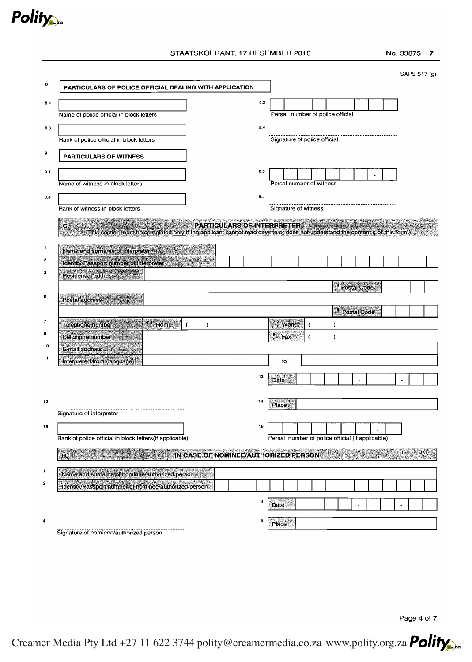

### STAATSKOERANT, 17 DESEMBER 2010 No. 33875 7

|                         |                                                                                                                                      |     |                                                  |                                  |  |   |        |                          |  |  | SAPS 517 (g) |
|-------------------------|--------------------------------------------------------------------------------------------------------------------------------------|-----|--------------------------------------------------|----------------------------------|--|---|--------|--------------------------|--|--|--------------|
| 8                       | PARTICULARS OF POLICE OFFICIAL DEALING WITH APPLICATION                                                                              |     |                                                  |                                  |  |   |        |                          |  |  |              |
| 8.1                     |                                                                                                                                      | 8.2 |                                                  |                                  |  |   |        |                          |  |  |              |
|                         | Name of police official in block letters                                                                                             |     |                                                  | Persal number of police official |  |   |        |                          |  |  |              |
| 8.3                     |                                                                                                                                      | 8.4 |                                                  |                                  |  |   |        |                          |  |  |              |
|                         | Rank of police official in block letters                                                                                             |     |                                                  | Signature of police official     |  |   |        |                          |  |  |              |
|                         |                                                                                                                                      |     |                                                  |                                  |  |   |        |                          |  |  |              |
| 9                       | <b>PARTICULARS OF WITNESS</b>                                                                                                        |     |                                                  |                                  |  |   |        |                          |  |  |              |
| 9.1                     |                                                                                                                                      | 9.2 |                                                  |                                  |  |   |        |                          |  |  |              |
|                         | Name of witness in block letters                                                                                                     |     |                                                  | Persal number of witness         |  |   |        |                          |  |  |              |
| 9.3                     |                                                                                                                                      | 9.4 |                                                  |                                  |  |   |        |                          |  |  |              |
|                         | Rank of witness in block letters                                                                                                     |     | Signature of witness                             |                                  |  |   |        |                          |  |  |              |
|                         | <u> EN MANGAN ANG ANG ANG KABUPATEN BILI</u><br><b>PARTICULARS OF INTERPRETER</b>                                                    |     |                                                  |                                  |  |   |        |                          |  |  |              |
|                         | G.<br>(This section must be completed only if the applicant cannot read or write or does not understand the content's of this form.) |     |                                                  |                                  |  |   |        |                          |  |  |              |
| $\mathbf{1}$            | Name and sumame of interpreter                                                                                                       |     |                                                  |                                  |  |   |        |                          |  |  |              |
| $\mathbf{2}$            |                                                                                                                                      |     |                                                  |                                  |  |   |        |                          |  |  |              |
| з                       | Identity/Passport number of Interpreter                                                                                              |     |                                                  |                                  |  |   |        |                          |  |  |              |
|                         | Residential address and the                                                                                                          |     |                                                  |                                  |  |   |        | <sup>4</sup> Postal Code |  |  |              |
| 5                       | Postal address                                                                                                                       |     |                                                  |                                  |  |   |        |                          |  |  |              |
|                         |                                                                                                                                      |     |                                                  |                                  |  |   |        |                          |  |  |              |
|                         |                                                                                                                                      |     |                                                  |                                  |  |   |        |                          |  |  |              |
| $\overline{\mathbf{r}}$ |                                                                                                                                      |     |                                                  |                                  |  |   |        | <sup>6</sup> Postal Code |  |  |              |
| 8                       | $7.1$ Home<br>Telephone number<br>$\lambda$                                                                                          |     | $72$ Work                                        |                                  |  | ١ |        |                          |  |  |              |
| 10                      | Cellphone number                                                                                                                     |     | $^{\circ}$ Fax                                   |                                  |  | ) |        |                          |  |  |              |
| 11                      | E-mail address                                                                                                                       |     |                                                  |                                  |  |   |        |                          |  |  |              |
|                         | Interpreted from (language)                                                                                                          |     |                                                  | to                               |  |   |        |                          |  |  |              |
|                         |                                                                                                                                      | 12  | Date                                             |                                  |  |   |        |                          |  |  |              |
|                         |                                                                                                                                      |     |                                                  |                                  |  |   |        |                          |  |  |              |
| 13                      |                                                                                                                                      | 14  | Place 2                                          |                                  |  |   |        |                          |  |  |              |
|                         | Signature of interpreter                                                                                                             |     |                                                  |                                  |  |   |        |                          |  |  |              |
| 15                      |                                                                                                                                      | 16  |                                                  |                                  |  |   |        |                          |  |  |              |
|                         | Rank of police official in block letters(if applicable)                                                                              |     | Persal number of police official (if applicable) |                                  |  |   |        |                          |  |  |              |
|                         | IN CASE OF NOMINEE/AUTHORIZED PERSON                                                                                                 |     |                                                  |                                  |  |   | martin |                          |  |  |              |
|                         | $H_2 = \frac{1}{2} \int_0^1 \frac{dx}{(x-x)^2} dx$                                                                                   |     |                                                  |                                  |  |   |        |                          |  |  |              |
| 1                       | Name and sumame of nominee/authorized person                                                                                         |     |                                                  |                                  |  |   |        |                          |  |  |              |
| $\mathbf{z}$            | Identity/Passport number of nominee/authorized person                                                                                |     |                                                  |                                  |  |   |        |                          |  |  |              |
|                         |                                                                                                                                      | 3   |                                                  |                                  |  |   |        |                          |  |  |              |
|                         |                                                                                                                                      |     | Date                                             |                                  |  |   |        |                          |  |  |              |
| 4                       | Signature of nominee/authorized person                                                                                               | 5   | Place                                            |                                  |  |   |        |                          |  |  |              |

Page 4 of 7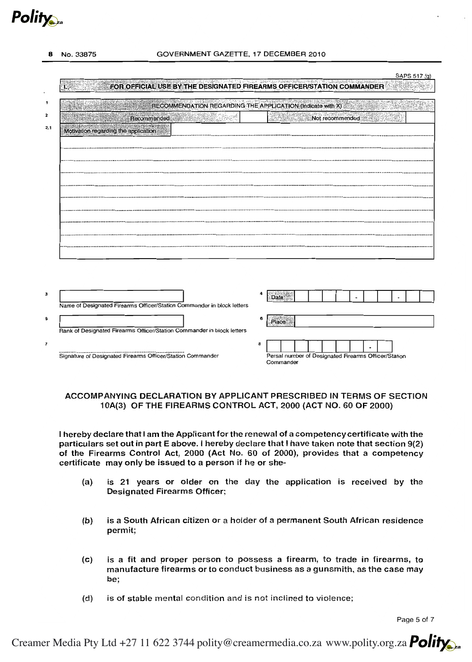**Polity** 

No. 33875

### GOVERNMENT GAZETTE, 17 DECEMBER 2010

#### SAPS 517 (a)

|                                      |                                                                        |   | RECOMMENDATION REGARDING THE APPLICATION (Indicate with X) |
|--------------------------------------|------------------------------------------------------------------------|---|------------------------------------------------------------|
|                                      |                                                                        |   |                                                            |
|                                      | Recommended                                                            |   | Not recommended                                            |
| Motivation regarding the application |                                                                        |   |                                                            |
|                                      |                                                                        |   |                                                            |
|                                      |                                                                        |   |                                                            |
|                                      |                                                                        |   |                                                            |
|                                      |                                                                        |   |                                                            |
|                                      |                                                                        |   |                                                            |
|                                      |                                                                        |   |                                                            |
|                                      |                                                                        |   |                                                            |
|                                      |                                                                        |   |                                                            |
|                                      |                                                                        |   |                                                            |
|                                      |                                                                        |   |                                                            |
|                                      |                                                                        |   |                                                            |
|                                      |                                                                        |   |                                                            |
|                                      |                                                                        |   |                                                            |
|                                      |                                                                        |   |                                                            |
|                                      |                                                                        |   |                                                            |
|                                      |                                                                        |   |                                                            |
|                                      |                                                                        |   |                                                            |
|                                      |                                                                        |   | Date                                                       |
|                                      | Name of Designated Firearms Officer/Station Commander in block letters |   |                                                            |
|                                      |                                                                        | 6 |                                                            |
|                                      |                                                                        |   | Place                                                      |
|                                      | Rank of Designated Firearms Officer/Station Commander in block letters |   |                                                            |

### ACCOMPANYING DECLARATION BY APPLICANT PRESCRIBED IN TERMS OF SECTION 10A(3) OF THE FIREARMS CONTROL ACT, 2000 (ACT NO. 60 OF 2000)

I hereby declare that I am the Applicant for the renewal of a competency certificate with the particulars set out in part E above. I hereby declare that I have taken note that section 9(2) of the Firearms Control Act, 2000 (Act No. 60 of 2000), provides that a competency certificate may only be issued to a person if he or she-

- $(a)$ is 21 years or older on the day the application is received by the Designated Firearms Officer;
- $(b)$ is a South African citizen or a holder of a permanent South African residence permit;
- $(c)$ is a fit and proper person to possess a firearm, to trade in firearms, to manufacture firearms or to conduct business as a gunsmith, as the case may be;
- $(d)$ is of stable mental condition and is not inclined to violence;

Page 5 of 7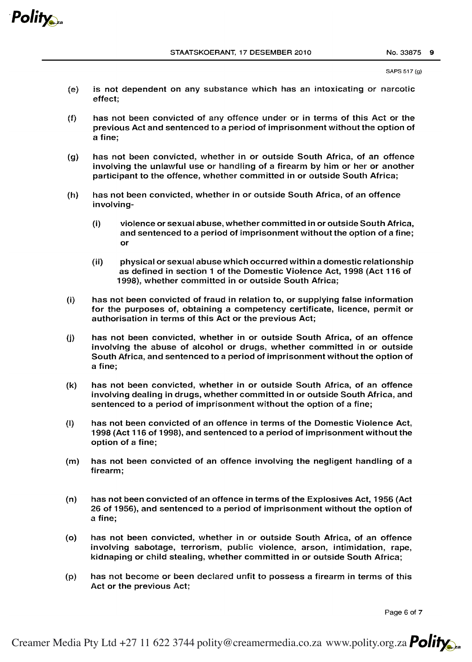

SAPS 517 (q)

- (e) is not dependent on any substance which has an intoxicating or narcotic effect;
- (f) has not been convicted of any offence under or in terms of this Act or the previous Act and sentenced to a period of imprisonment without the option of a fine;
- (g) has not been convicted, whether in or outside South Africa, of an offence involving the unlawful use or handling of a firearm by him or her or another participant to the offence, whether committed in or outside South Africa;
- (h) has not been convicted, whether in or outside South Africa, of an offence involving-
	- (i) violence or sexual abuse, whether committed in or outside South Africa, and sentenced to a period of imprisonment without the option of a fine; or
	- (ii) physical or sexual abuse which occurred within a domestic relationship as defined in section 1 of the Domestic Violence Act, 1998 (Act 116 of 1998), whether committed in or outside South Africa;
- (i) has not been convicted of fraud in relation to, or supplying false information for the purposes of, obtaining a competency certificate, licence, permit or authorisation in terms of this Act or the previous Act;
- (j) has not been convicted, whether in or outside South Africa, of an offence involving the abuse of alcohol or drugs, whether committed in or outside South Africa, and sentenced to a period of imprisonment without the option of a fine;
- (k) has not been convicted, whether in or outside South Africa, of an offence involving dealing in drugs, whether committed in or outside South Africa, and sentenced to a period of imprisonment without the option of a fine;
- (I) has not been convicted of an offence in terms of the Domestic Violence Act, 1998 (Act 116 of 1998), and sentenced to a period of imprisonment without the option of a fine;
- (m) has not been convicted of an offence involVing the negligent handling of a firearm;
- (n) has not been convicted of an offence in terms of the Explosives Act, 1956 (Act 26 of 1956), and sentenced to a period of imprisonment without the option of a fine;
- (0) has not been convicted, whether in or outside South Africa, of an offence involving sabotage, terrorism, public violence, arson, intimidation, rape, kidnaping or child stealing, whether committed in or outside South Africa;
- (p) has not become or been declared unfit to possess a firearm in terms of this Act or the previous Act;

Page 6 of 7